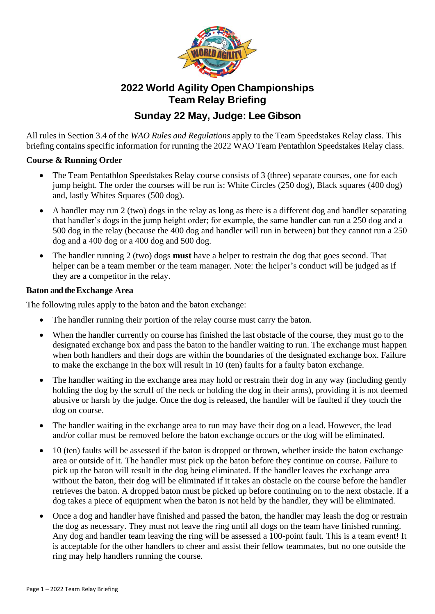

# **2022 World Agility Open Championships Team Relay Briefing**

# **Sunday 22 May, Judge: Lee Gibson**

All rules in Section 3.4 of the *WAO Rules and Regulations* apply to the Team Speedstakes Relay class. This briefing contains specific information for running the 2022 WAO Team Pentathlon Speedstakes Relay class.

### **Course & Running Order**

- The Team Pentathlon Speedstakes Relay course consists of 3 (three) separate courses, one for each jump height. The order the courses will be run is: White Circles (250 dog), Black squares (400 dog) and, lastly Whites Squares (500 dog).
- A handler may run 2 (two) dogs in the relay as long as there is a different dog and handler separating that handler's dogs in the jump height order; for example, the same handler can run a 250 dog and a 500 dog in the relay (because the 400 dog and handler will run in between) but they cannot run a 250 dog and a 400 dog or a 400 dog and 500 dog.
- The handler running 2 (two) dogs **must** have a helper to restrain the dog that goes second. That helper can be a team member or the team manager. Note: the helper's conduct will be judged as if they are a competitor in the relay.

### **Baton and the Exchange Area**

The following rules apply to the baton and the baton exchange:

- The handler running their portion of the relay course must carry the baton.
- When the handler currently on course has finished the last obstacle of the course, they must go to the designated exchange box and pass the baton to the handler waiting to run. The exchange must happen when both handlers and their dogs are within the boundaries of the designated exchange box. Failure to make the exchange in the box will result in 10 (ten) faults for a faulty baton exchange.
- The handler waiting in the exchange area may hold or restrain their dog in any way (including gently holding the dog by the scruff of the neck or holding the dog in their arms), providing it is not deemed abusive or harsh by the judge. Once the dog is released, the handler will be faulted if they touch the dog on course.
- The handler waiting in the exchange area to run may have their dog on a lead. However, the lead and/or collar must be removed before the baton exchange occurs or the dog will be eliminated.
- 10 (ten) faults will be assessed if the baton is dropped or thrown, whether inside the baton exchange area or outside of it. The handler must pick up the baton before they continue on course. Failure to pick up the baton will result in the dog being eliminated. If the handler leaves the exchange area without the baton, their dog will be eliminated if it takes an obstacle on the course before the handler retrieves the baton. A dropped baton must be picked up before continuing on to the next obstacle. If a dog takes a piece of equipment when the baton is not held by the handler, they will be eliminated.
- Once a dog and handler have finished and passed the baton, the handler may leash the dog or restrain the dog as necessary. They must not leave the ring until all dogs on the team have finished running. Any dog and handler team leaving the ring will be assessed a 100-point fault. This is a team event! It is acceptable for the other handlers to cheer and assist their fellow teammates, but no one outside the ring may help handlers running the course.